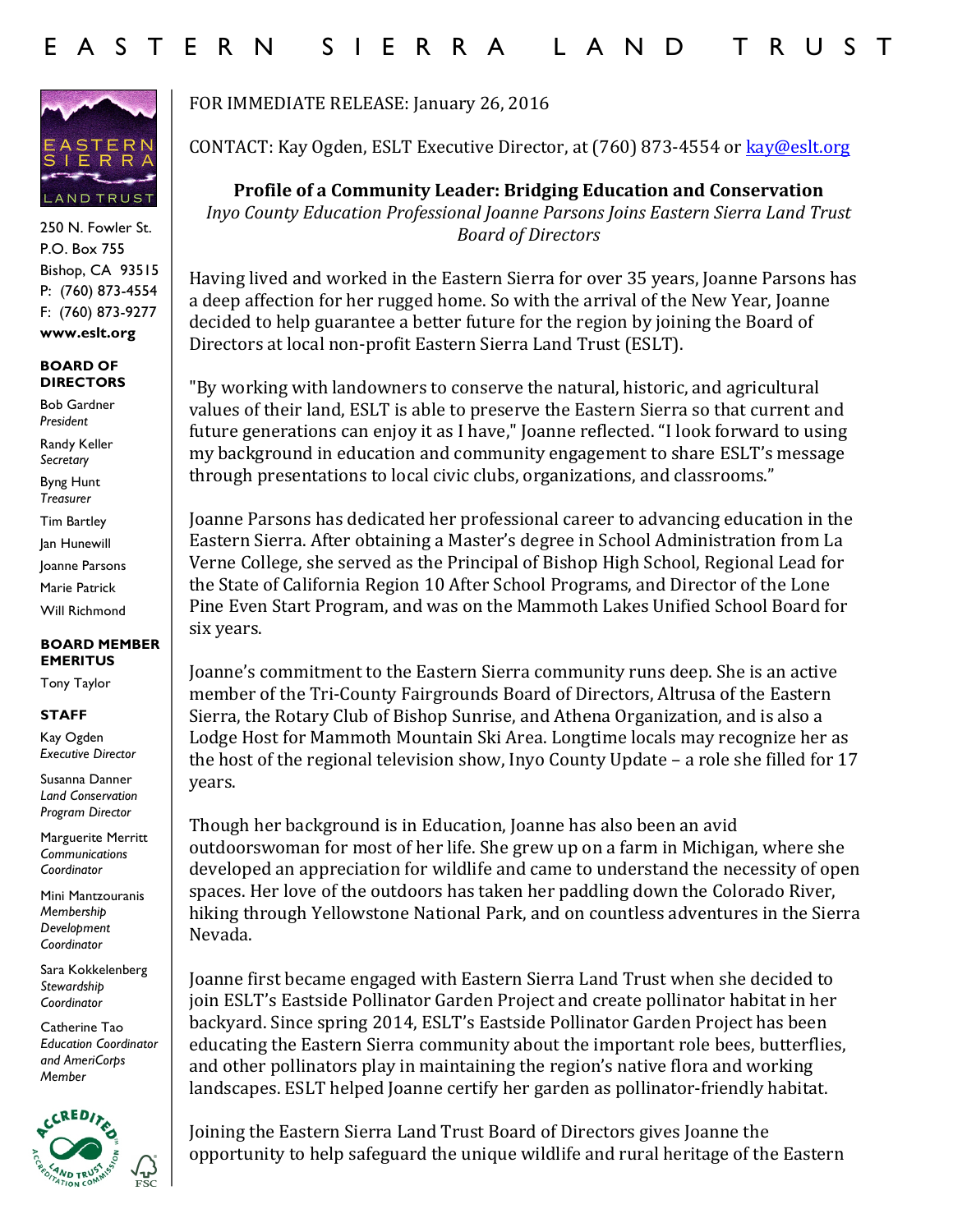

250 N. Fowler St. P.O. Box 755 Bishop, CA 93515 P: (760) 873-4554 F: (760) 873-9277 **www.eslt.org**

## **BOARD OF DIRECTORS**

Bob Gardner *President*

Randy Keller *Secretary* Byng Hunt

*Treasurer*

Tim Bartley

Jan Hunewill

Joanne Parsons

Marie Patrick Will Richmond

## **BOARD MEMBER EMERITUS**

Tony Taylor

## **STAFF**

Kay Ogden *Executive Director*

Susanna Danner *Land Conservation Program Director*

Marguerite Merritt *Communications Coordinator*

Mini Mantzouranis *Membership Development Coordinator*

Sara Kokkelenberg *Stewardship Coordinator*

Catherine Tao *Education Coordinator and AmeriCorps Member* 



FOR IMMEDIATE RELEASE: January 26, 2016

CONTACT: Kay Ogden, ESLT Executive Director, at (760) 873-4554 or kay@eslt.org

**Profile of a Community Leader: Bridging Education and Conservation** *Inyo County Education Professional Joanne Parsons Joins Eastern Sierra Land Trust Board of Directors*

Having lived and worked in the Eastern Sierra for over 35 years, Joanne Parsons has a deep affection for her rugged home. So with the arrival of the New Year, Joanne decided to help guarantee a better future for the region by joining the Board of Directors at local non-profit Eastern Sierra Land Trust (ESLT).

"By working with landowners to conserve the natural, historic, and agricultural values of their land, ESLT is able to preserve the Eastern Sierra so that current and future generations can enjoy it as I have," Joanne reflected. "I look forward to using my background in education and community engagement to share ESLT's message through presentations to local civic clubs, organizations, and classrooms."

Joanne Parsons has dedicated her professional career to advancing education in the Eastern Sierra. After obtaining a Master's degree in School Administration from La Verne College, she served as the Principal of Bishop High School, Regional Lead for the State of California Region 10 After School Programs, and Director of the Lone Pine Even Start Program, and was on the Mammoth Lakes Unified School Board for six years.

Joanne's commitment to the Eastern Sierra community runs deep. She is an active member of the Tri-County Fairgrounds Board of Directors, Altrusa of the Eastern Sierra, the Rotary Club of Bishop Sunrise, and Athena Organization, and is also a Lodge Host for Mammoth Mountain Ski Area. Longtime locals may recognize her as the host of the regional television show, Inyo County Update  $-$  a role she filled for 17 years.

Though her background is in Education, Joanne has also been an avid outdoorswoman for most of her life. She grew up on a farm in Michigan, where she developed an appreciation for wildlife and came to understand the necessity of open spaces. Her love of the outdoors has taken her paddling down the Colorado River, hiking through Yellowstone National Park, and on countless adventures in the Sierra Nevada.

Joanne first became engaged with Eastern Sierra Land Trust when she decided to join ESLT's Eastside Pollinator Garden Project and create pollinator habitat in her backyard. Since spring 2014, ESLT's Eastside Pollinator Garden Project has been educating the Eastern Sierra community about the important role bees, butterflies, and other pollinators play in maintaining the region's native flora and working landscapes. ESLT helped Joanne certify her garden as pollinator-friendly habitat.

Joining the Eastern Sierra Land Trust Board of Directors gives Joanne the opportunity to help safeguard the unique wildlife and rural heritage of the Eastern